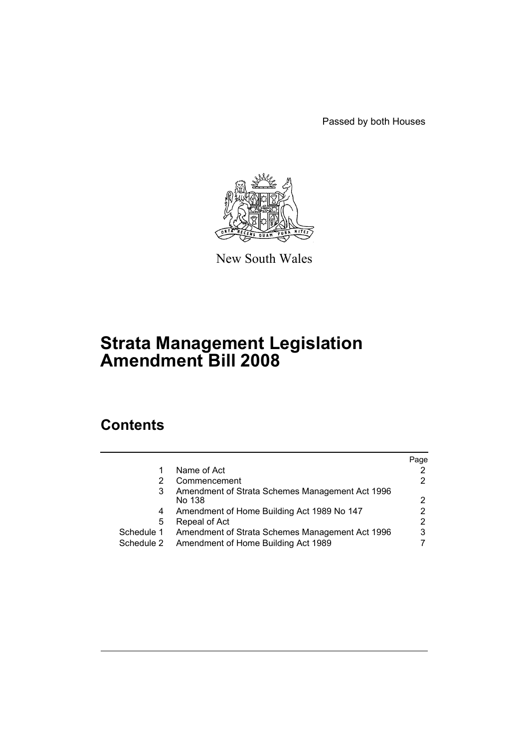Passed by both Houses



New South Wales

# **Strata Management Legislation Amendment Bill 2008**

# **Contents**

|            |                                                 | Page |
|------------|-------------------------------------------------|------|
| 1          | Name of Act                                     |      |
| 2          | Commencement                                    |      |
| 3          | Amendment of Strata Schemes Management Act 1996 |      |
|            | No 138                                          | 2    |
| 4          | Amendment of Home Building Act 1989 No 147      |      |
| 5          | Repeal of Act                                   | 2    |
| Schedule 1 | Amendment of Strata Schemes Management Act 1996 | 3    |
| Schedule 2 | Amendment of Home Building Act 1989             |      |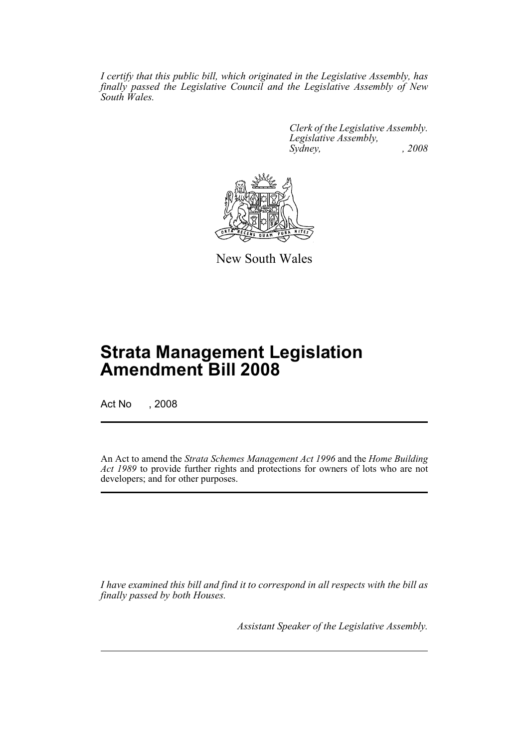*I certify that this public bill, which originated in the Legislative Assembly, has finally passed the Legislative Council and the Legislative Assembly of New South Wales.*

> *Clerk of the Legislative Assembly. Legislative Assembly, Sydney, , 2008*



New South Wales

# **Strata Management Legislation Amendment Bill 2008**

Act No , 2008

An Act to amend the *Strata Schemes Management Act 1996* and the *Home Building Act 1989* to provide further rights and protections for owners of lots who are not developers; and for other purposes.

*I have examined this bill and find it to correspond in all respects with the bill as finally passed by both Houses.*

*Assistant Speaker of the Legislative Assembly.*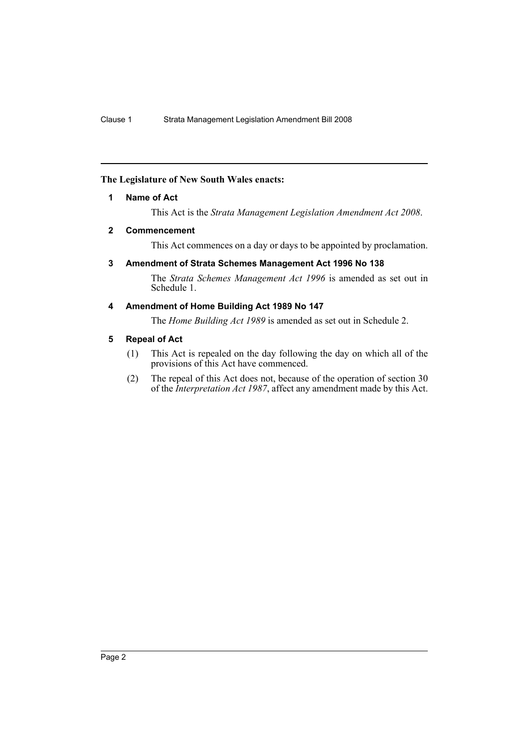# <span id="page-2-0"></span>**The Legislature of New South Wales enacts:**

# **1 Name of Act**

This Act is the *Strata Management Legislation Amendment Act 2008*.

# <span id="page-2-1"></span>**2 Commencement**

This Act commences on a day or days to be appointed by proclamation.

# <span id="page-2-2"></span>**3 Amendment of Strata Schemes Management Act 1996 No 138**

The *Strata Schemes Management Act 1996* is amended as set out in Schedule 1.

# <span id="page-2-3"></span>**4 Amendment of Home Building Act 1989 No 147**

The *Home Building Act 1989* is amended as set out in Schedule 2.

# <span id="page-2-4"></span>**5 Repeal of Act**

- (1) This Act is repealed on the day following the day on which all of the provisions of this Act have commenced.
- (2) The repeal of this Act does not, because of the operation of section 30 of the *Interpretation Act 1987*, affect any amendment made by this Act.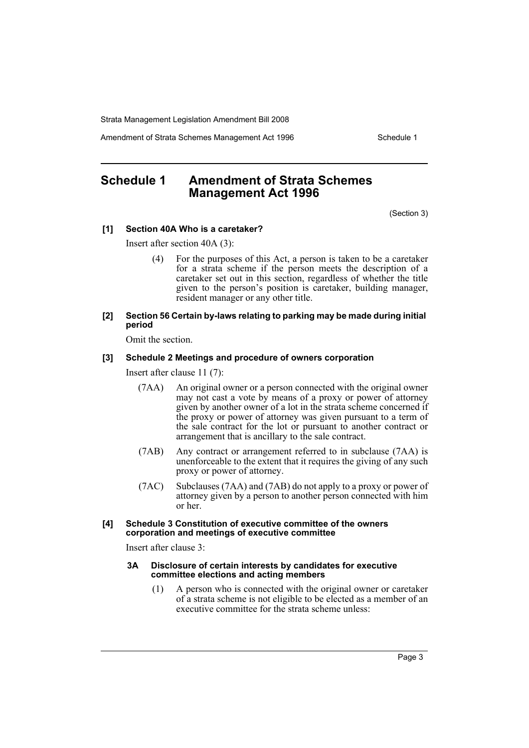Amendment of Strata Schemes Management Act 1996 Schedule 1

# <span id="page-3-0"></span>**Schedule 1 Amendment of Strata Schemes Management Act 1996**

(Section 3)

## **[1] Section 40A Who is a caretaker?**

Insert after section 40A (3):

- (4) For the purposes of this Act, a person is taken to be a caretaker for a strata scheme if the person meets the description of a caretaker set out in this section, regardless of whether the title given to the person's position is caretaker, building manager, resident manager or any other title.
- **[2] Section 56 Certain by-laws relating to parking may be made during initial period**

Omit the section.

## **[3] Schedule 2 Meetings and procedure of owners corporation**

Insert after clause 11 (7):

- (7AA) An original owner or a person connected with the original owner may not cast a vote by means of a proxy or power of attorney given by another owner of a lot in the strata scheme concerned if the proxy or power of attorney was given pursuant to a term of the sale contract for the lot or pursuant to another contract or arrangement that is ancillary to the sale contract.
- (7AB) Any contract or arrangement referred to in subclause (7AA) is unenforceable to the extent that it requires the giving of any such proxy or power of attorney.
- (7AC) Subclauses (7AA) and (7AB) do not apply to a proxy or power of attorney given by a person to another person connected with him or her.
- **[4] Schedule 3 Constitution of executive committee of the owners corporation and meetings of executive committee**

Insert after clause 3:

#### **3A Disclosure of certain interests by candidates for executive committee elections and acting members**

(1) A person who is connected with the original owner or caretaker of a strata scheme is not eligible to be elected as a member of an executive committee for the strata scheme unless: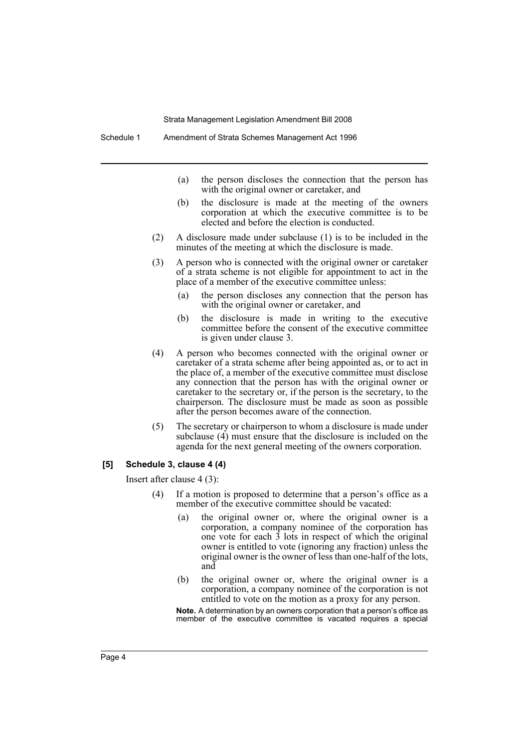Schedule 1 Amendment of Strata Schemes Management Act 1996

- (a) the person discloses the connection that the person has with the original owner or caretaker, and
- (b) the disclosure is made at the meeting of the owners corporation at which the executive committee is to be elected and before the election is conducted.
- (2) A disclosure made under subclause (1) is to be included in the minutes of the meeting at which the disclosure is made.
- (3) A person who is connected with the original owner or caretaker of a strata scheme is not eligible for appointment to act in the place of a member of the executive committee unless:
	- (a) the person discloses any connection that the person has with the original owner or caretaker, and
	- (b) the disclosure is made in writing to the executive committee before the consent of the executive committee is given under clause 3.
- (4) A person who becomes connected with the original owner or caretaker of a strata scheme after being appointed as, or to act in the place of, a member of the executive committee must disclose any connection that the person has with the original owner or caretaker to the secretary or, if the person is the secretary, to the chairperson. The disclosure must be made as soon as possible after the person becomes aware of the connection.
- (5) The secretary or chairperson to whom a disclosure is made under subclause (4) must ensure that the disclosure is included on the agenda for the next general meeting of the owners corporation.

#### **[5] Schedule 3, clause 4 (4)**

Insert after clause 4 (3):

- (4) If a motion is proposed to determine that a person's office as a member of the executive committee should be vacated:
	- (a) the original owner or, where the original owner is a corporation, a company nominee of the corporation has one vote for each 3 lots in respect of which the original owner is entitled to vote (ignoring any fraction) unless the original owner is the owner of less than one-half of the lots, and
	- (b) the original owner or, where the original owner is a corporation, a company nominee of the corporation is not entitled to vote on the motion as a proxy for any person.

**Note.** A determination by an owners corporation that a person's office as member of the executive committee is vacated requires a special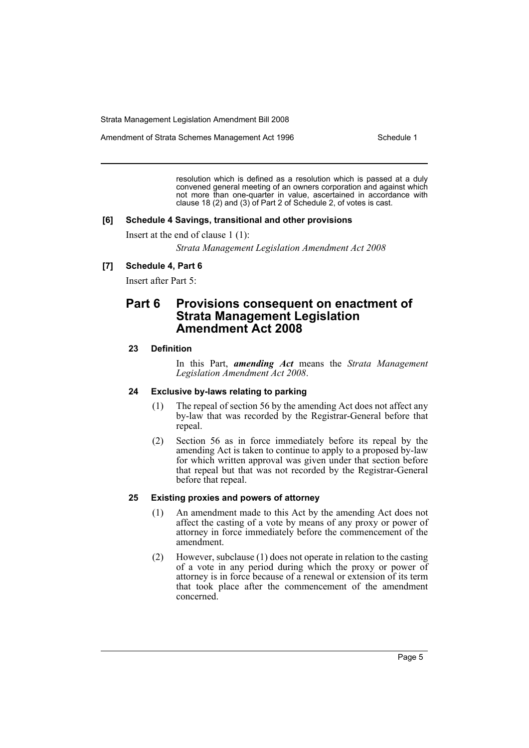Amendment of Strata Schemes Management Act 1996 Schedule 1

resolution which is defined as a resolution which is passed at a duly convened general meeting of an owners corporation and against which not more than one-quarter in value, ascertained in accordance with clause 18 (2) and (3) of Part 2 of Schedule 2, of votes is cast.

#### **[6] Schedule 4 Savings, transitional and other provisions**

Insert at the end of clause 1 (1):

*Strata Management Legislation Amendment Act 2008*

# **[7] Schedule 4, Part 6**

Insert after Part 5:

# **Part 6 Provisions consequent on enactment of Strata Management Legislation Amendment Act 2008**

## **23 Definition**

In this Part, *amending Act* means the *Strata Management Legislation Amendment Act 2008*.

## **24 Exclusive by-laws relating to parking**

- (1) The repeal of section 56 by the amending Act does not affect any by-law that was recorded by the Registrar-General before that repeal.
- (2) Section 56 as in force immediately before its repeal by the amending Act is taken to continue to apply to a proposed by-law for which written approval was given under that section before that repeal but that was not recorded by the Registrar-General before that repeal.

## **25 Existing proxies and powers of attorney**

- (1) An amendment made to this Act by the amending Act does not affect the casting of a vote by means of any proxy or power of attorney in force immediately before the commencement of the amendment.
- (2) However, subclause (1) does not operate in relation to the casting of a vote in any period during which the proxy or power of attorney is in force because of a renewal or extension of its term that took place after the commencement of the amendment concerned.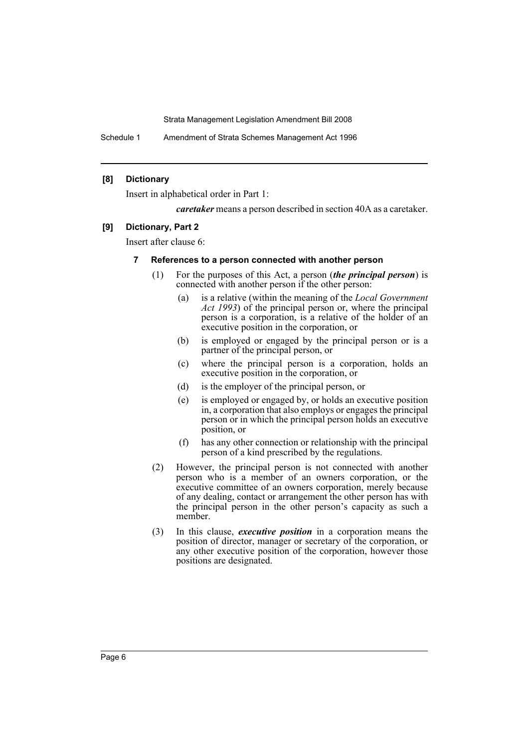Schedule 1 Amendment of Strata Schemes Management Act 1996

# **[8] Dictionary**

Insert in alphabetical order in Part 1:

*caretaker* means a person described in section 40A as a caretaker.

# **[9] Dictionary, Part 2**

Insert after clause 6:

# **7 References to a person connected with another person**

- (1) For the purposes of this Act, a person (*the principal person*) is connected with another person if the other person:
	- (a) is a relative (within the meaning of the *Local Government Act 1993*) of the principal person or, where the principal person is a corporation, is a relative of the holder of an executive position in the corporation, or
	- (b) is employed or engaged by the principal person or is a partner of the principal person, or
	- (c) where the principal person is a corporation, holds an executive position in the corporation, or
	- (d) is the employer of the principal person, or
	- (e) is employed or engaged by, or holds an executive position in, a corporation that also employs or engages the principal person or in which the principal person holds an executive position, or
	- (f) has any other connection or relationship with the principal person of a kind prescribed by the regulations.
- (2) However, the principal person is not connected with another person who is a member of an owners corporation, or the executive committee of an owners corporation, merely because of any dealing, contact or arrangement the other person has with the principal person in the other person's capacity as such a member.
- (3) In this clause, *executive position* in a corporation means the position of director, manager or secretary of the corporation, or any other executive position of the corporation, however those positions are designated.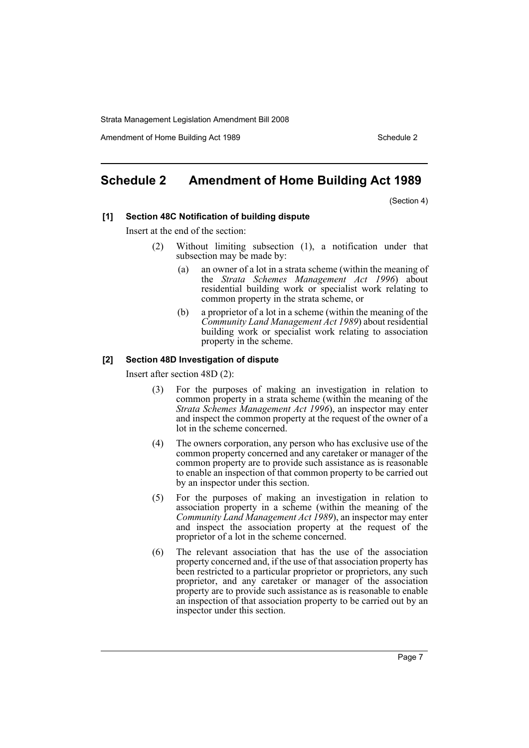Amendment of Home Building Act 1989 Schedule 2 and the Schedule 2

# <span id="page-7-0"></span>**Schedule 2 Amendment of Home Building Act 1989**

(Section 4)

## **[1] Section 48C Notification of building dispute**

Insert at the end of the section:

- Without limiting subsection (1), a notification under that subsection may be made by:
	- (a) an owner of a lot in a strata scheme (within the meaning of the *Strata Schemes Management Act 1996*) about residential building work or specialist work relating to common property in the strata scheme, or
	- (b) a proprietor of a lot in a scheme (within the meaning of the *Community Land Management Act 1989*) about residential building work or specialist work relating to association property in the scheme.

# **[2] Section 48D Investigation of dispute**

Insert after section 48D (2):

- (3) For the purposes of making an investigation in relation to common property in a strata scheme (within the meaning of the *Strata Schemes Management Act 1996*), an inspector may enter and inspect the common property at the request of the owner of a lot in the scheme concerned.
- (4) The owners corporation, any person who has exclusive use of the common property concerned and any caretaker or manager of the common property are to provide such assistance as is reasonable to enable an inspection of that common property to be carried out by an inspector under this section.
- (5) For the purposes of making an investigation in relation to association property in a scheme (within the meaning of the *Community Land Management Act 1989*), an inspector may enter and inspect the association property at the request of the proprietor of a lot in the scheme concerned.
- (6) The relevant association that has the use of the association property concerned and, if the use of that association property has been restricted to a particular proprietor or proprietors, any such proprietor, and any caretaker or manager of the association property are to provide such assistance as is reasonable to enable an inspection of that association property to be carried out by an inspector under this section.